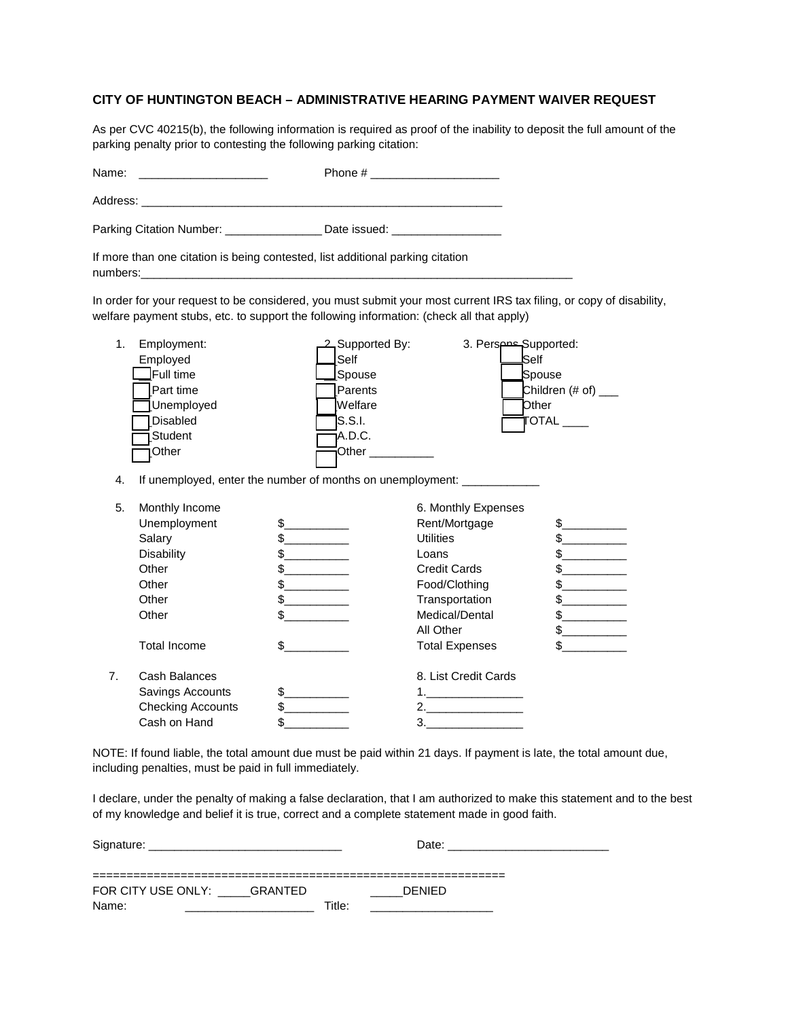## **CITY OF HUNTINGTON BEACH – ADMINISTRATIVE HEARING PAYMENT WAIVER REQUEST**

As per CVC 40215(b), the following information is required as proof of the inability to deposit the full amount of the parking penalty prior to contesting the following parking citation:

| Name:<br><u> The Common State Common State Common</u> |                                                                                                                          |                                                                                                 |                                                                                                                                                                                     |                                                                                                                                          |  |
|-------------------------------------------------------|--------------------------------------------------------------------------------------------------------------------------|-------------------------------------------------------------------------------------------------|-------------------------------------------------------------------------------------------------------------------------------------------------------------------------------------|------------------------------------------------------------------------------------------------------------------------------------------|--|
|                                                       |                                                                                                                          |                                                                                                 |                                                                                                                                                                                     |                                                                                                                                          |  |
|                                                       | Parking Citation Number: __________________ Date issued: _______________________                                         |                                                                                                 |                                                                                                                                                                                     |                                                                                                                                          |  |
| numbers:                                              | If more than one citation is being contested, list additional parking citation                                           |                                                                                                 |                                                                                                                                                                                     |                                                                                                                                          |  |
|                                                       |                                                                                                                          |                                                                                                 | welfare payment stubs, etc. to support the following information: (check all that apply)                                                                                            | In order for your request to be considered, you must submit your most current IRS tax filing, or copy of disability,                     |  |
| 1.<br>4.                                              | Employment:<br>Employed<br>${\bf I}$ Full time<br>Part time<br>Unemployed<br><b>Disabled</b><br>EStudent<br>1Other       | 2 Supported By:<br>Self<br>Spouse<br>Parents<br>Welfare<br><b>S.S.I.</b><br>A.D.C.              | 3. Perspose Supported:<br>Other $\qquad \qquad$<br>If unemployed, enter the number of months on unemployment: _____________                                                         | lSelf<br>Spouse<br>Children $(\# of)$ ____<br><b>Other</b><br>$\overline{\text{DTAL}}$                                                   |  |
| 5.                                                    | Monthly Income<br>Unemployment<br>Salary<br><b>Disability</b><br>Other<br>Other<br>Other<br>Other<br><b>Total Income</b> | $\frac{1}{2}$<br>$\sim$<br>$\mathbb{S}$<br>$\frac{1}{2}$<br>$\mathbb{S}$<br>$\frac{1}{2}$<br>\$ | 6. Monthly Expenses<br>Rent/Mortgage<br><b>Utilities</b><br>Loans<br><b>Credit Cards</b><br>Food/Clothing<br>Transportation<br>Medical/Dental<br>All Other<br><b>Total Expenses</b> | $\frac{1}{2}$<br>$\frac{1}{2}$<br>$\mathbb{S}$<br>$\frac{1}{2}$<br>$\mathbb{S}$<br>$\frac{1}{2}$<br>$\frac{1}{2}$<br>$\frac{1}{2}$<br>\$ |  |
| 7 <sub>1</sub>                                        | Cash Balances<br>Savings Accounts<br><b>Checking Accounts</b><br>Cash on Hand                                            | \$<br>\$<br>\$                                                                                  | 8. List Credit Cards<br>1.<br>2.<br>3.                                                                                                                                              |                                                                                                                                          |  |

NOTE: If found liable, the total amount due must be paid within 21 days. If payment is late, the total amount due, including penalties, must be paid in full immediately.

I declare, under the penalty of making a false declaration, that I am authorized to make this statement and to the best of my knowledge and belief it is true, correct and a complete statement made in good faith.

| Signature:                 |        | Date:         |  |  |
|----------------------------|--------|---------------|--|--|
|                            |        |               |  |  |
|                            |        |               |  |  |
| FOR CITY USE ONLY: GRANTED |        | <b>DENIED</b> |  |  |
| Name:                      | Title: |               |  |  |